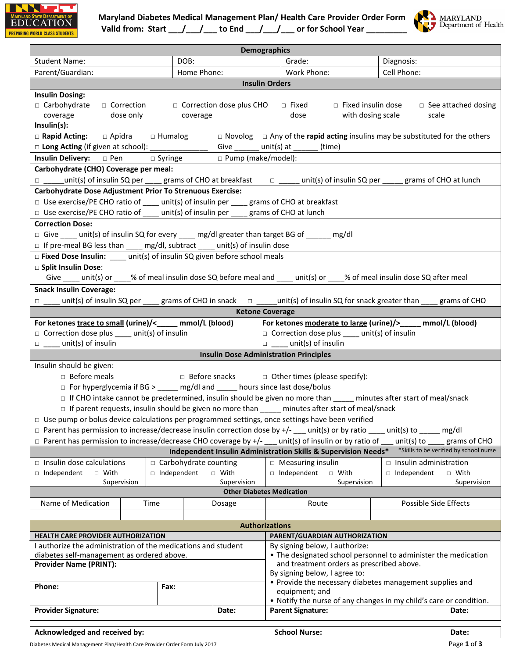



|                                                                                                                                                                                                                                                                                                                                                                                          |                                            |                                                                                                                                                                                   | <b>Demographics</b>                                                                                                   |                                          |
|------------------------------------------------------------------------------------------------------------------------------------------------------------------------------------------------------------------------------------------------------------------------------------------------------------------------------------------------------------------------------------------|--------------------------------------------|-----------------------------------------------------------------------------------------------------------------------------------------------------------------------------------|-----------------------------------------------------------------------------------------------------------------------|------------------------------------------|
| Student Name:                                                                                                                                                                                                                                                                                                                                                                            | DOB:                                       |                                                                                                                                                                                   | Grade:                                                                                                                | Diagnosis:                               |
| Parent/Guardian:                                                                                                                                                                                                                                                                                                                                                                         | Home Phone:                                |                                                                                                                                                                                   | Work Phone:                                                                                                           | Cell Phone:                              |
|                                                                                                                                                                                                                                                                                                                                                                                          |                                            |                                                                                                                                                                                   | <b>Insulin Orders</b>                                                                                                 |                                          |
| <b>Insulin Dosing:</b><br>$\Box$ Carbohydrate<br>□ Correction dose plus CHO □ Fixed<br>$\Box$ Fixed insulin dose<br>□ See attached dosing<br>□ Correction<br>dose only<br>dose<br>with dosing scale<br>scale<br>coverage<br>coverage<br>$Insulin(s)$ :<br>$\Box$ Novolog $\Box$ Any of the rapid acting insulins may be substituted for the others<br>□ Rapid Acting: □ Apidra □ Humalog |                                            |                                                                                                                                                                                   |                                                                                                                       |                                          |
| □ Long Acting (if given at school): ________________                                                                                                                                                                                                                                                                                                                                     |                                            |                                                                                                                                                                                   | Give _______ unit(s) at ______ (time)                                                                                 |                                          |
| Insulin Delivery: □ Pen                                                                                                                                                                                                                                                                                                                                                                  | □ Syringe                                  | □ Pump (make/model):                                                                                                                                                              |                                                                                                                       |                                          |
| Carbohydrate (CHO) Coverage per meal:                                                                                                                                                                                                                                                                                                                                                    |                                            |                                                                                                                                                                                   |                                                                                                                       |                                          |
| □ ____unit(s) of insulin SQ per ____ grams of CHO at breakfast $\Box$ _____ unit(s) of insulin SQ per _____ grams of CHO at lunch                                                                                                                                                                                                                                                        |                                            |                                                                                                                                                                                   |                                                                                                                       |                                          |
| <b>Carbohydrate Dose Adjustment Prior To Strenuous Exercise:</b><br>$\Box$ Use exercise/PE CHO ratio of ____ unit(s) of insulin per ____ grams of CHO at breakfast<br>$\Box$ Use exercise/PE CHO ratio of ____ unit(s) of insulin per ____ grams of CHO at lunch<br><b>Correction Dose:</b>                                                                                              |                                            |                                                                                                                                                                                   |                                                                                                                       |                                          |
| □ Give ____ unit(s) of insulin SQ for every ____ mg/dl greater than target BG of ______ mg/dl                                                                                                                                                                                                                                                                                            |                                            |                                                                                                                                                                                   |                                                                                                                       |                                          |
| $\Box$ If pre-meal BG less than ____ mg/dl, subtract ____ unit(s) of insulin dose                                                                                                                                                                                                                                                                                                        |                                            |                                                                                                                                                                                   |                                                                                                                       |                                          |
| $\Box$ Fixed Dose Insulin: ____ unit(s) of insulin SQ given before school meals<br>□ Split Insulin Dose:<br>Give ____ unit(s) or ____% of meal insulin dose SQ before meal and ___ unit(s) or ____% of meal insulin dose SQ after meal                                                                                                                                                   |                                            |                                                                                                                                                                                   |                                                                                                                       |                                          |
| <b>Snack Insulin Coverage:</b>                                                                                                                                                                                                                                                                                                                                                           |                                            |                                                                                                                                                                                   |                                                                                                                       |                                          |
| □ ___ unit(s) of insulin SQ per ____ grams of CHO in snack $\Box$ _____unit(s) of insulin SQ for snack greater than ____ grams of CHO                                                                                                                                                                                                                                                    |                                            |                                                                                                                                                                                   |                                                                                                                       |                                          |
|                                                                                                                                                                                                                                                                                                                                                                                          |                                            |                                                                                                                                                                                   | <b>Ketone Coverage</b>                                                                                                |                                          |
| For ketones trace to small (urine)/<_____ mmol/L (blood) For ketones moderate to large (urine)/>____ mmol/L (blood)                                                                                                                                                                                                                                                                      |                                            |                                                                                                                                                                                   |                                                                                                                       |                                          |
| $\Box$ Correction dose plus ____ unit(s) of insulin                                                                                                                                                                                                                                                                                                                                      |                                            |                                                                                                                                                                                   | $\Box$ Correction dose plus ____ unit(s) of insulin                                                                   |                                          |
| $\Box$ unit(s) of insulin                                                                                                                                                                                                                                                                                                                                                                |                                            |                                                                                                                                                                                   | $\Box$ unit(s) of insulin                                                                                             |                                          |
|                                                                                                                                                                                                                                                                                                                                                                                          |                                            |                                                                                                                                                                                   | <b>Insulin Dose Administration Principles</b>                                                                         |                                          |
| Insulin should be given:                                                                                                                                                                                                                                                                                                                                                                 |                                            |                                                                                                                                                                                   |                                                                                                                       |                                          |
| $\Box$ Before meals                                                                                                                                                                                                                                                                                                                                                                      |                                            |                                                                                                                                                                                   | $\Box$ Before snacks $\Box$ Other times (please specify):                                                             |                                          |
| □ For hyperglycemia if BG > ____ mg/dl and ____ hours since last dose/bolus                                                                                                                                                                                                                                                                                                              |                                            |                                                                                                                                                                                   |                                                                                                                       |                                          |
|                                                                                                                                                                                                                                                                                                                                                                                          |                                            |                                                                                                                                                                                   | □ If CHO intake cannot be predetermined, insulin should be given no more than _____ minutes after start of meal/snack |                                          |
|                                                                                                                                                                                                                                                                                                                                                                                          |                                            |                                                                                                                                                                                   | □ If parent requests, insulin should be given no more than _____ minutes after start of meal/snack                    |                                          |
| $\Box$ Use pump or bolus device calculations per programmed settings, once settings have been verified                                                                                                                                                                                                                                                                                   |                                            |                                                                                                                                                                                   |                                                                                                                       |                                          |
| $\Box$ Parent has permission to increase/decrease insulin correction dose by +/- __ unit(s) or by ratio                                                                                                                                                                                                                                                                                  |                                            |                                                                                                                                                                                   |                                                                                                                       | unit(s) to $\rule{1em}{0.15mm}$<br>mg/dl |
| $\Box$ Parent has permission to increase/decrease CHO coverage by +/-                                                                                                                                                                                                                                                                                                                    |                                            |                                                                                                                                                                                   | unit(s) of insulin or by ratio of                                                                                     | unit(s) to<br>grams of CHO               |
|                                                                                                                                                                                                                                                                                                                                                                                          |                                            |                                                                                                                                                                                   | Independent Insulin Administration Skills & Supervision Needs*                                                        | *Skills to be verified by school nurse   |
| $\Box$ Insulin dose calculations                                                                                                                                                                                                                                                                                                                                                         | $\Box$ Carbohydrate counting               |                                                                                                                                                                                   | $\Box$ Measuring insulin                                                                                              | $\Box$ Insulin administration            |
| Independent<br>□ With                                                                                                                                                                                                                                                                                                                                                                    | □ Independent                              | □ With                                                                                                                                                                            | Independent<br>□ With                                                                                                 | □ Independent<br>□ With                  |
| Supervision                                                                                                                                                                                                                                                                                                                                                                              |                                            | Supervision                                                                                                                                                                       | Supervision                                                                                                           | Supervision                              |
| <b>Other Diabetes Medication</b>                                                                                                                                                                                                                                                                                                                                                         |                                            |                                                                                                                                                                                   |                                                                                                                       |                                          |
| Name of Medication<br>Time                                                                                                                                                                                                                                                                                                                                                               |                                            | Dosage                                                                                                                                                                            | Route                                                                                                                 | Possible Side Effects                    |
|                                                                                                                                                                                                                                                                                                                                                                                          |                                            |                                                                                                                                                                                   |                                                                                                                       |                                          |
|                                                                                                                                                                                                                                                                                                                                                                                          |                                            |                                                                                                                                                                                   | <b>Authorizations</b>                                                                                                 |                                          |
| PARENT/GUARDIAN AUTHORIZATION<br><b>HEALTH CARE PROVIDER AUTHORIZATION</b>                                                                                                                                                                                                                                                                                                               |                                            |                                                                                                                                                                                   |                                                                                                                       |                                          |
| I authorize the administration of the medications and student                                                                                                                                                                                                                                                                                                                            |                                            |                                                                                                                                                                                   | By signing below, I authorize:                                                                                        |                                          |
| • The designated school personnel to administer the medication<br>diabetes self-management as ordered above.<br>and treatment orders as prescribed above.<br><b>Provider Name (PRINT):</b>                                                                                                                                                                                               |                                            |                                                                                                                                                                                   |                                                                                                                       |                                          |
| Phone:<br>Fax:                                                                                                                                                                                                                                                                                                                                                                           |                                            | By signing below, I agree to:<br>• Provide the necessary diabetes management supplies and<br>equipment; and<br>• Notify the nurse of any changes in my child's care or condition. |                                                                                                                       |                                          |
| <b>Provider Signature:</b>                                                                                                                                                                                                                                                                                                                                                               | Date:<br><b>Parent Signature:</b><br>Date: |                                                                                                                                                                                   |                                                                                                                       |                                          |
| Acknowledged and received by:                                                                                                                                                                                                                                                                                                                                                            | <b>School Nurse:</b><br>Date:              |                                                                                                                                                                                   |                                                                                                                       |                                          |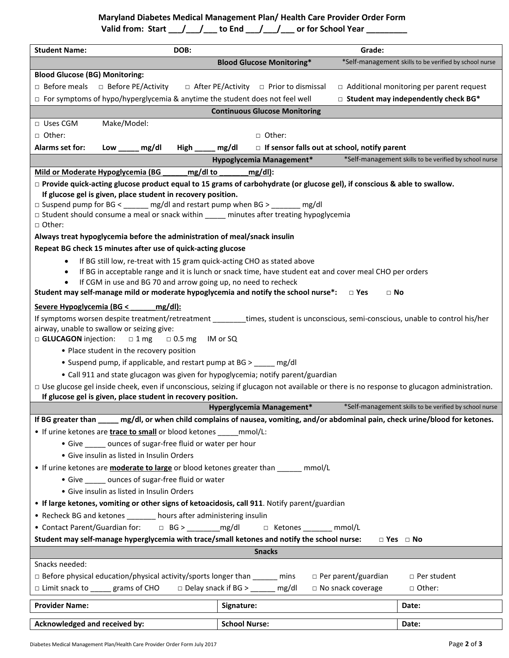## **Maryland Diabetes Medical Management Plan/ Health Care Provider Order Form**

| Valid from: Start | to End | or for School Year |  |
|-------------------|--------|--------------------|--|
|-------------------|--------|--------------------|--|

| <b>Student Name:</b><br>DOB:                                                                                                                                                   | Grade:                                                                                                  |                                                        |  |  |
|--------------------------------------------------------------------------------------------------------------------------------------------------------------------------------|---------------------------------------------------------------------------------------------------------|--------------------------------------------------------|--|--|
|                                                                                                                                                                                | <b>Blood Glucose Monitoring*</b>                                                                        | *Self-management skills to be verified by school nurse |  |  |
| <b>Blood Glucose (BG) Monitoring:</b>                                                                                                                                          |                                                                                                         |                                                        |  |  |
| $\Box$ Before meals $\Box$ Before PE/Activity                                                                                                                                  | $\Box$ After PE/Activity $\Box$ Prior to dismissal                                                      | □ Additional monitoring per parent request             |  |  |
|                                                                                                                                                                                |                                                                                                         |                                                        |  |  |
| $\Box$ For symptoms of hypo/hyperglycemia & anytime the student does not feel well                                                                                             |                                                                                                         | $\Box$ Student may independently check BG*             |  |  |
|                                                                                                                                                                                | <b>Continuous Glucose Monitoring</b>                                                                    |                                                        |  |  |
| Make/Model:<br>$\Box$ Uses CGM                                                                                                                                                 |                                                                                                         |                                                        |  |  |
| □ Other:                                                                                                                                                                       | □ Other:                                                                                                |                                                        |  |  |
| High ______ mg/dl<br>Alarms set for:<br>mg/dl<br>Low                                                                                                                           | $\Box$ If sensor falls out at school, notify parent                                                     |                                                        |  |  |
|                                                                                                                                                                                | Hypoglycemia Management*                                                                                | *Self-management skills to be verified by school nurse |  |  |
| Mild or Moderate Hypoglycemia (BG<br>_mg/dl to                                                                                                                                 | $mg/dl$ :                                                                                               |                                                        |  |  |
| □ Provide quick-acting glucose product equal to 15 grams of carbohydrate (or glucose gel), if conscious & able to swallow.                                                     |                                                                                                         |                                                        |  |  |
| If glucose gel is given, place student in recovery position.                                                                                                                   |                                                                                                         |                                                        |  |  |
| $\Box$ Suspend pump for BG < ______ mg/dl and restart pump when BG > ______ mg/dl<br>□ Student should consume a meal or snack within _____ minutes after treating hypoglycemia |                                                                                                         |                                                        |  |  |
| □ Other:                                                                                                                                                                       |                                                                                                         |                                                        |  |  |
| Always treat hypoglycemia before the administration of meal/snack insulin                                                                                                      |                                                                                                         |                                                        |  |  |
| Repeat BG check 15 minutes after use of quick-acting glucose                                                                                                                   |                                                                                                         |                                                        |  |  |
| If BG still low, re-treat with 15 gram quick-acting CHO as stated above                                                                                                        |                                                                                                         |                                                        |  |  |
| $\bullet$                                                                                                                                                                      | If BG in acceptable range and it is lunch or snack time, have student eat and cover meal CHO per orders |                                                        |  |  |
| If CGM in use and BG 70 and arrow going up, no need to recheck<br>$\bullet$                                                                                                    |                                                                                                         |                                                        |  |  |
| Student may self-manage mild or moderate hypoglycemia and notify the school nurse*:                                                                                            | $\Box$ Yes<br>$\Box$ No                                                                                 |                                                        |  |  |
| Severe Hypoglycemia (BG <<br>$mg/dl$ :                                                                                                                                         |                                                                                                         |                                                        |  |  |
| If symptoms worsen despite treatment/retreatment ________times, student is unconscious, semi-conscious, unable to control his/her                                              |                                                                                                         |                                                        |  |  |
| airway, unable to swallow or seizing give:                                                                                                                                     |                                                                                                         |                                                        |  |  |
| □ GLUCAGON injection:<br>$\Box$ 1 mg<br>$\Box$ 0.5 mg                                                                                                                          | IM or SQ                                                                                                |                                                        |  |  |
| • Place student in the recovery position                                                                                                                                       |                                                                                                         |                                                        |  |  |
| • Suspend pump, if applicable, and restart pump at BG > _____ mg/dl                                                                                                            |                                                                                                         |                                                        |  |  |
| • Call 911 and state glucagon was given for hypoglycemia; notify parent/guardian                                                                                               |                                                                                                         |                                                        |  |  |
| □ Use glucose gel inside cheek, even if unconscious, seizing if glucagon not available or there is no response to glucagon administration.                                     |                                                                                                         |                                                        |  |  |
| If glucose gel is given, place student in recovery position.                                                                                                                   |                                                                                                         |                                                        |  |  |
| Hyperglycemia Management*<br>*Self-management skills to be verified by school nurse                                                                                            |                                                                                                         |                                                        |  |  |
| If BG greater than _____ mg/dl, or when child complains of nausea, vomiting, and/or abdominal pain, check urine/blood for ketones.                                             |                                                                                                         |                                                        |  |  |
| • If urine ketones are <b>trace to small</b> or blood ketones ______ mmol/L:                                                                                                   |                                                                                                         |                                                        |  |  |
| • Give _____ ounces of sugar-free fluid or water per hour                                                                                                                      |                                                                                                         |                                                        |  |  |
| • Give insulin as listed in Insulin Orders                                                                                                                                     |                                                                                                         |                                                        |  |  |
| • If urine ketones are <b>moderate to large</b> or blood ketones greater than ______ mmol/L                                                                                    |                                                                                                         |                                                        |  |  |
| • Give ounces of sugar-free fluid or water                                                                                                                                     |                                                                                                         |                                                        |  |  |
| • Give insulin as listed in Insulin Orders                                                                                                                                     |                                                                                                         |                                                        |  |  |
| • If large ketones, vomiting or other signs of ketoacidosis, call 911. Notify parent/guardian                                                                                  |                                                                                                         |                                                        |  |  |
| • Recheck BG and ketones _______ hours after administering insulin                                                                                                             |                                                                                                         |                                                        |  |  |
| • Contact Parent/Guardian for: $\Box$ BG > ________ mg/dl $\Box$ Ketones _______ mmol/L                                                                                        |                                                                                                         |                                                        |  |  |
| Student may self-manage hyperglycemia with trace/small ketones and notify the school nurse:<br>$\Box$ Yes $\Box$ No                                                            |                                                                                                         |                                                        |  |  |
|                                                                                                                                                                                |                                                                                                         |                                                        |  |  |
| <b>Snacks</b>                                                                                                                                                                  |                                                                                                         |                                                        |  |  |
| Snacks needed:                                                                                                                                                                 |                                                                                                         |                                                        |  |  |
| $\Box$ Before physical education/physical activity/sports longer than ______ mins<br>$\Box$ Per parent/guardian<br>$\Box$ Per student                                          |                                                                                                         |                                                        |  |  |
| $\Box$ Limit snack to _____ grams of CHO<br>$\Box$ Delay snack if BG > $\Box$ mg/dl<br>□ No snack coverage<br>□ Other:                                                         |                                                                                                         |                                                        |  |  |
| <b>Provider Name:</b>                                                                                                                                                          | Signature:                                                                                              | Date:                                                  |  |  |
| Acknowledged and received by:                                                                                                                                                  | <b>School Nurse:</b>                                                                                    | Date:                                                  |  |  |